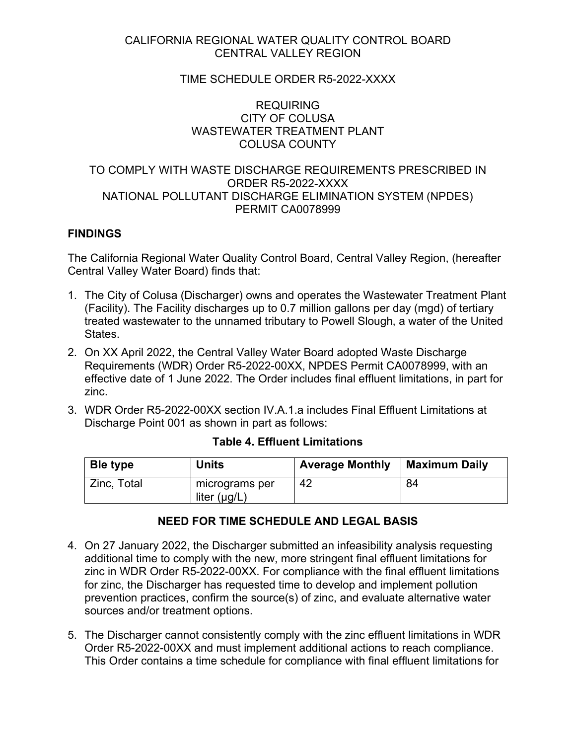## CALIFORNIA REGIONAL WATER QUALITY CONTROL BOARD CENTRAL VALLEY REGION

## TIME SCHEDULE ORDER R5-2022-XXXX

## REQUIRING CITY OF COLUSA WASTEWATER TREATMENT PLANT COLUSA COUNTY

## TO COMPLY WITH WASTE DISCHARGE REQUIREMENTS PRESCRIBED IN ORDER R5-2022-XXXX NATIONAL POLLUTANT DISCHARGE ELIMINATION SYSTEM (NPDES) PERMIT CA0078999

#### **FINDINGS**

The California Regional Water Quality Control Board, Central Valley Region, (hereafter Central Valley Water Board) finds that:

- 1. The City of Colusa (Discharger) owns and operates the Wastewater Treatment Plant (Facility). The Facility discharges up to 0.7 million gallons per day (mgd) of tertiary treated wastewater to the unnamed tributary to Powell Slough, a water of the United States.
- 2. On XX April 2022, the Central Valley Water Board adopted Waste Discharge Requirements (WDR) Order R5-2022-00XX, NPDES Permit CA0078999, with an effective date of 1 June 2022. The Order includes final effluent limitations, in part for zinc.
- 3. WDR Order R5-2022-00XX section IV.A.1.a includes Final Effluent Limitations at Discharge Point 001 as shown in part as follows:

| Ble type    | <b>Units</b>                        | <b>Average Monthly</b> | Maximum Daily |
|-------------|-------------------------------------|------------------------|---------------|
| Zinc, Total | micrograms per<br>liter $(\mu g/L)$ | 42                     | 84            |

#### **Table 4. Effluent Limitations**

## **NEED FOR TIME SCHEDULE AND LEGAL BASIS**

- 4. On 27 January 2022, the Discharger submitted an infeasibility analysis requesting additional time to comply with the new, more stringent final effluent limitations for zinc in WDR Order R5-2022-00XX. For compliance with the final effluent limitations for zinc, the Discharger has requested time to develop and implement pollution prevention practices, confirm the source(s) of zinc, and evaluate alternative water sources and/or treatment options.
- 5. The Discharger cannot consistently comply with the zinc effluent limitations in WDR Order R5-2022-00XX and must implement additional actions to reach compliance. This Order contains a time schedule for compliance with final effluent limitations for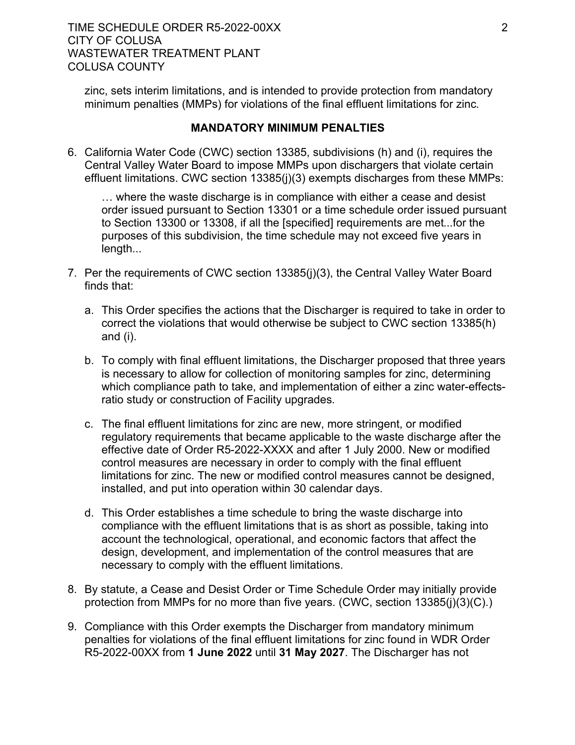zinc, sets interim limitations, and is intended to provide protection from mandatory minimum penalties (MMPs) for violations of the final effluent limitations for zinc.

## **MANDATORY MINIMUM PENALTIES**

6. California Water Code (CWC) section 13385, subdivisions (h) and (i), requires the Central Valley Water Board to impose MMPs upon dischargers that violate certain effluent limitations. CWC section 13385(j)(3) exempts discharges from these MMPs:

… where the waste discharge is in compliance with either a cease and desist order issued pursuant to Section 13301 or a time schedule order issued pursuant to Section 13300 or 13308, if all the [specified] requirements are met...for the purposes of this subdivision, the time schedule may not exceed five years in length...

- 7. Per the requirements of CWC section 13385(j)(3), the Central Valley Water Board finds that:
	- a. This Order specifies the actions that the Discharger is required to take in order to correct the violations that would otherwise be subject to CWC section 13385(h) and (i).
	- b. To comply with final effluent limitations, the Discharger proposed that three years is necessary to allow for collection of monitoring samples for zinc, determining which compliance path to take, and implementation of either a zinc water-effectsratio study or construction of Facility upgrades.
	- c. The final effluent limitations for zinc are new, more stringent, or modified regulatory requirements that became applicable to the waste discharge after the effective date of Order R5-2022-XXXX and after 1 July 2000. New or modified control measures are necessary in order to comply with the final effluent limitations for zinc. The new or modified control measures cannot be designed, installed, and put into operation within 30 calendar days.
	- d. This Order establishes a time schedule to bring the waste discharge into compliance with the effluent limitations that is as short as possible, taking into account the technological, operational, and economic factors that affect the design, development, and implementation of the control measures that are necessary to comply with the effluent limitations.
- 8. By statute, a Cease and Desist Order or Time Schedule Order may initially provide protection from MMPs for no more than five years. (CWC, section 13385(j)(3)(C).)
- 9. Compliance with this Order exempts the Discharger from mandatory minimum penalties for violations of the final effluent limitations for zinc found in WDR Order R5-2022-00XX from **1 June 2022** until **31 May 2027**. The Discharger has not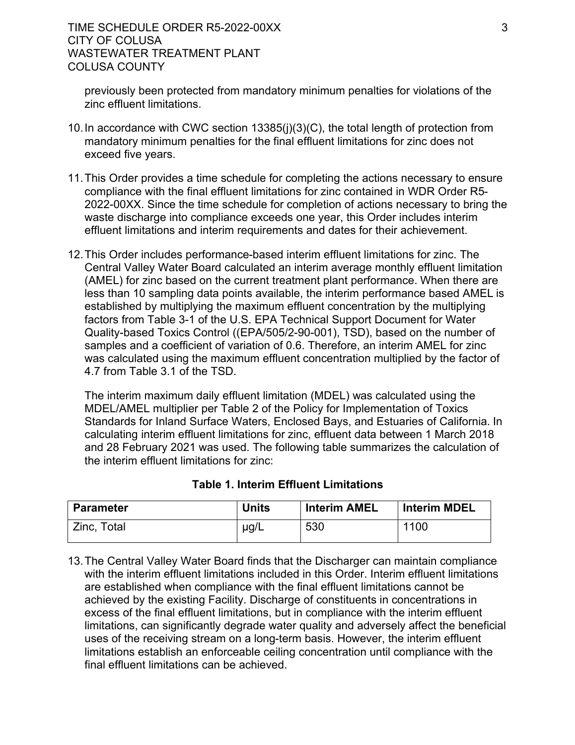previously been protected from mandatory minimum penalties for violations of the zinc effluent limitations.

- 10.In accordance with CWC section 13385(j)(3)(C), the total length of protection from mandatory minimum penalties for the final effluent limitations for zinc does not exceed five years.
- 11.This Order provides a time schedule for completing the actions necessary to ensure compliance with the final effluent limitations for zinc contained in WDR Order R5- 2022-00XX. Since the time schedule for completion of actions necessary to bring the waste discharge into compliance exceeds one year, this Order includes interim effluent limitations and interim requirements and dates for their achievement.
- 12.This Order includes performance-based interim effluent limitations for zinc. The Central Valley Water Board calculated an interim average monthly effluent limitation (AMEL) for zinc based on the current treatment plant performance. When there are less than 10 sampling data points available, the interim performance based AMEL is established by multiplying the maximum effluent concentration by the multiplying factors from Table 3-1 of the U.S. EPA Technical Support Document for Water Quality-based Toxics Control ((EPA/505/2-90-001), TSD), based on the number of samples and a coefficient of variation of 0.6. Therefore, an interim AMEL for zinc was calculated using the maximum effluent concentration multiplied by the factor of 4.7 from Table 3.1 of the TSD.

The interim maximum daily effluent limitation (MDEL) was calculated using the MDEL/AMEL multiplier per Table 2 of the Policy for Implementation of Toxics Standards for Inland Surface Waters, Enclosed Bays, and Estuaries of California. In calculating interim effluent limitations for zinc, effluent data between 1 March 2018 and 28 February 2021 was used. The following table summarizes the calculation of the interim effluent limitations for zinc:

| <b>Parameter</b> | <b>Units</b> | <b>Interim AMEL</b> | <b>Interim MDEL</b> |
|------------------|--------------|---------------------|---------------------|
| Zinc, Total      | $\mu$ g/L    | 530                 | 1100                |

# **Table 1. Interim Effluent Limitations**

13.The Central Valley Water Board finds that the Discharger can maintain compliance with the interim effluent limitations included in this Order. Interim effluent limitations are established when compliance with the final effluent limitations cannot be achieved by the existing Facility. Discharge of constituents in concentrations in excess of the final effluent limitations, but in compliance with the interim effluent limitations, can significantly degrade water quality and adversely affect the beneficial uses of the receiving stream on a long-term basis. However, the interim effluent limitations establish an enforceable ceiling concentration until compliance with the final effluent limitations can be achieved.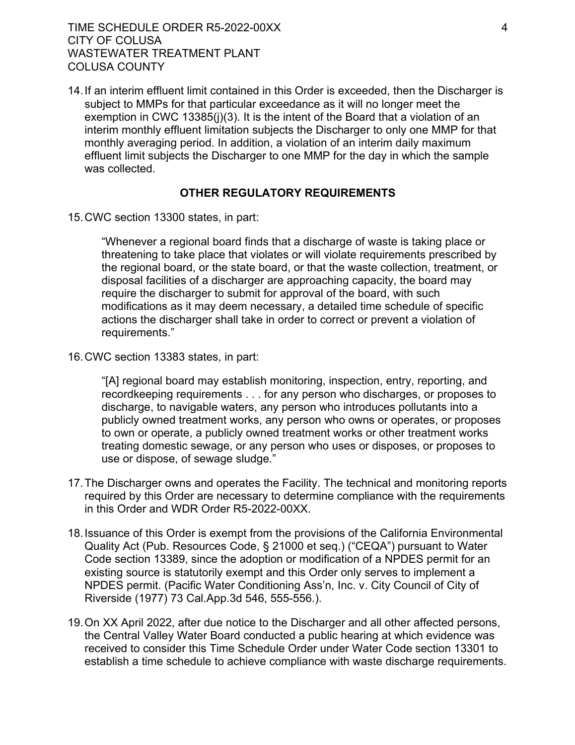TIME SCHEDULE ORDER R5-2022-00XX 4 CITY OF COLUSA WASTEWATER TREATMENT PLANT COLUSA COUNTY

14.If an interim effluent limit contained in this Order is exceeded, then the Discharger is subject to MMPs for that particular exceedance as it will no longer meet the exemption in CWC 13385(j)(3). It is the intent of the Board that a violation of an interim monthly effluent limitation subjects the Discharger to only one MMP for that monthly averaging period. In addition, a violation of an interim daily maximum effluent limit subjects the Discharger to one MMP for the day in which the sample was collected.

#### **OTHER REGULATORY REQUIREMENTS**

15.CWC section 13300 states, in part:

"Whenever a regional board finds that a discharge of waste is taking place or threatening to take place that violates or will violate requirements prescribed by the regional board, or the state board, or that the waste collection, treatment, or disposal facilities of a discharger are approaching capacity, the board may require the discharger to submit for approval of the board, with such modifications as it may deem necessary, a detailed time schedule of specific actions the discharger shall take in order to correct or prevent a violation of requirements."

16.CWC section 13383 states, in part:

"[A] regional board may establish monitoring, inspection, entry, reporting, and recordkeeping requirements . . . for any person who discharges, or proposes to discharge, to navigable waters, any person who introduces pollutants into a publicly owned treatment works, any person who owns or operates, or proposes to own or operate, a publicly owned treatment works or other treatment works treating domestic sewage, or any person who uses or disposes, or proposes to use or dispose, of sewage sludge."

- 17.The Discharger owns and operates the Facility. The technical and monitoring reports required by this Order are necessary to determine compliance with the requirements in this Order and WDR Order R5-2022-00XX.
- 18.Issuance of this Order is exempt from the provisions of the California Environmental Quality Act (Pub. Resources Code, § 21000 et seq.) ("CEQA") pursuant to Water Code section 13389, since the adoption or modification of a NPDES permit for an existing source is statutorily exempt and this Order only serves to implement a NPDES permit. (Pacific Water Conditioning Ass'n, Inc. v. City Council of City of Riverside (1977) 73 Cal.App.3d 546, 555-556.).
- 19.On XX April 2022, after due notice to the Discharger and all other affected persons, the Central Valley Water Board conducted a public hearing at which evidence was received to consider this Time Schedule Order under Water Code section 13301 to establish a time schedule to achieve compliance with waste discharge requirements.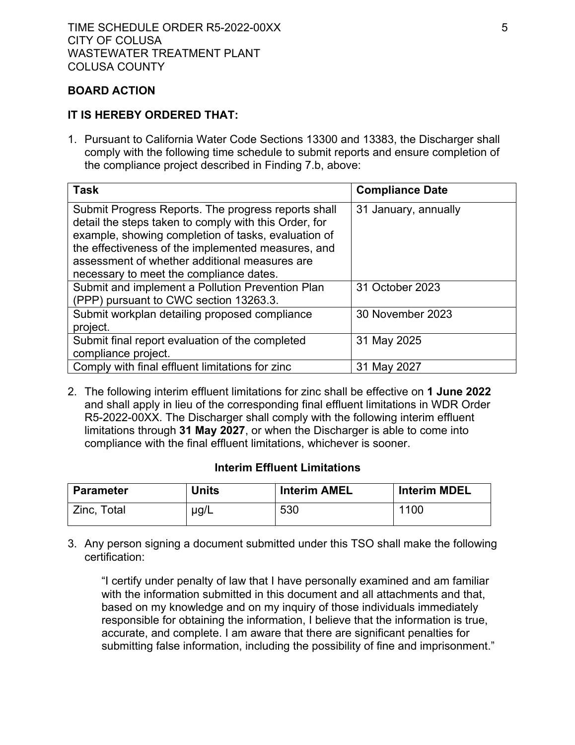## **BOARD ACTION**

## **IT IS HEREBY ORDERED THAT:**

1. Pursuant to California Water Code Sections 13300 and 13383, the Discharger shall comply with the following time schedule to submit reports and ensure completion of the compliance project described in Finding 7.b, above:

| <b>Task</b>                                                                                                                                                                                                                                                                                                           | <b>Compliance Date</b> |
|-----------------------------------------------------------------------------------------------------------------------------------------------------------------------------------------------------------------------------------------------------------------------------------------------------------------------|------------------------|
| Submit Progress Reports. The progress reports shall<br>detail the steps taken to comply with this Order, for<br>example, showing completion of tasks, evaluation of<br>the effectiveness of the implemented measures, and<br>assessment of whether additional measures are<br>necessary to meet the compliance dates. | 31 January, annually   |
| Submit and implement a Pollution Prevention Plan<br>(PPP) pursuant to CWC section 13263.3.                                                                                                                                                                                                                            | 31 October 2023        |
| Submit workplan detailing proposed compliance<br>project.                                                                                                                                                                                                                                                             | 30 November 2023       |
| Submit final report evaluation of the completed<br>compliance project.                                                                                                                                                                                                                                                | 31 May 2025            |
| Comply with final effluent limitations for zinc                                                                                                                                                                                                                                                                       | 31 May 2027            |

2. The following interim effluent limitations for zinc shall be effective on **1 June 2022** and shall apply in lieu of the corresponding final effluent limitations in WDR Order R5-2022-00XX. The Discharger shall comply with the following interim effluent limitations through **31 May 2027**, or when the Discharger is able to come into compliance with the final effluent limitations, whichever is sooner.

## **Interim Effluent Limitations**

| <b>Parameter</b> | Units | <b>Interim AMEL</b> | <b>Interim MDEL</b> |
|------------------|-------|---------------------|---------------------|
| Zinc, Total      | µg/L  | 530                 | 1100                |

3. Any person signing a document submitted under this TSO shall make the following certification:

"I certify under penalty of law that I have personally examined and am familiar with the information submitted in this document and all attachments and that, based on my knowledge and on my inquiry of those individuals immediately responsible for obtaining the information, I believe that the information is true, accurate, and complete. I am aware that there are significant penalties for submitting false information, including the possibility of fine and imprisonment."